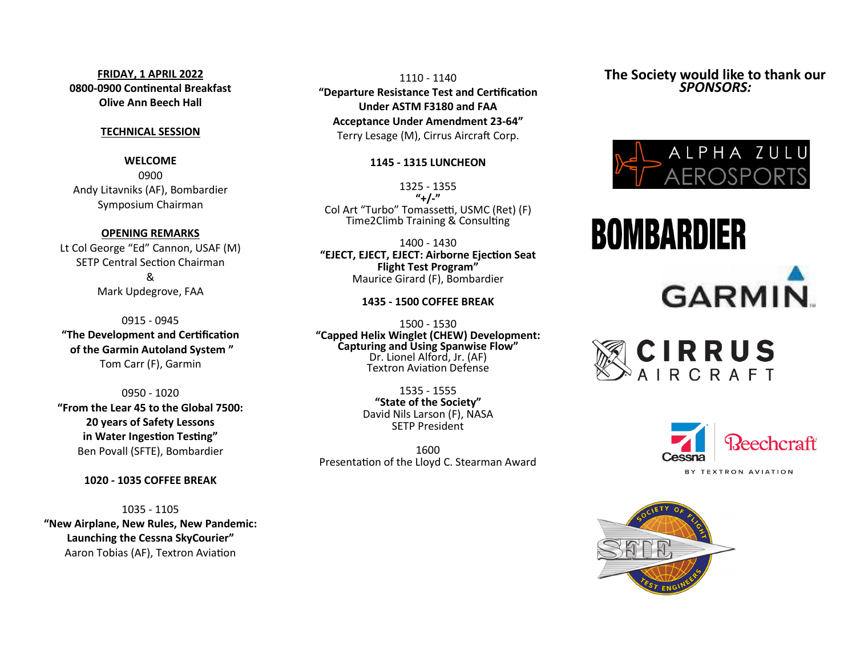## **FRIDAY, 1 APRIL 2022 0800-0900 Continental Breakfast Olive Ann Beech Hall**

## **TECHNICAL SESSION**

**WELCOME** 0900 Andy Litavniks (AF), Bombardier Symposium Chairman

### **OPENING REMARKS**

Lt Col George "Ed" Cannon, USAF (M) SETP Central Section Chairman & Mark Updegrove, FAA

0915 - 0945 **"The Development and Certification of the Garmin Autoland System "** Tom Carr (F), Garmin

0950 - 1020 **"From the Lear 45 to the Global 7500: 20 years of Safety Lessons in Water Ingestion Testing"** Ben Povall (SFTE), Bombardier

## **1020 - 1035 COFFEE BREAK**

1035 - 1105 **"New Airplane, New Rules, New Pandemic: Launching the Cessna SkyCourier"** Aaron Tobias (AF), Textron Aviation

1110 - 1140 **"Departure Resistance Test and Certification Under ASTM F3180 and FAA Acceptance Under Amendment 23-64"** Terry Lesage (M), Cirrus Aircraft Corp.

## **1145 - 1315 LUNCHEON**

1325 - 1355 **"+/-"** Col Art "Turbo" Tomassetti, USMC (Ret) (F) Time2Climb Training & Consulting

1400 - 1430 **"EJECT, EJECT, EJECT: Airborne Ejection Seat Flight Test Program"** Maurice Girard (F), Bombardier

## **1435 - 1500 COFFEE BREAK**

1500 - 1530 **"Capped Helix Winglet (CHEW) Development: Capturing and Using Spanwise Flow"** Dr. Lionel Alford, Jr. (AF) Textron Aviation Defense

> 1535 - 1555 **"State of the Society"** David Nils Larson (F), NASA SETP President

1600 Presentation of the Lloyd C. Stearman Award **The Society would like to thank our**  *SPONSORS:*



# **BOMBARDIER**



CIRRUS<br>AIRCRAFT